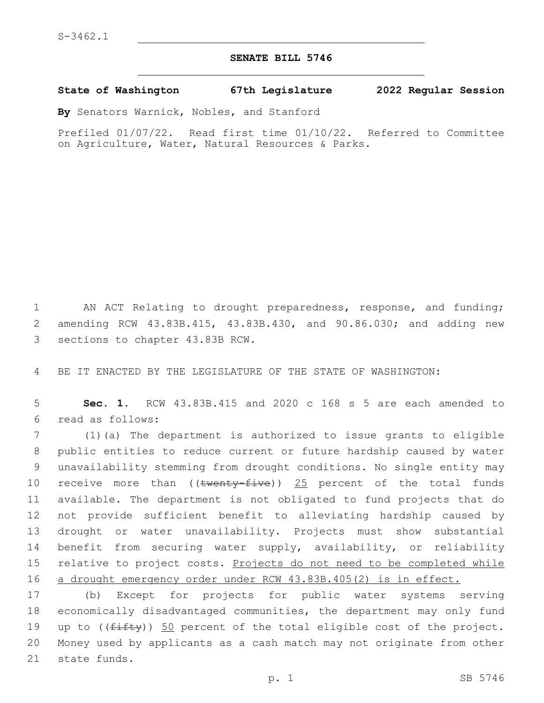## **SENATE BILL 5746**

## **State of Washington 67th Legislature 2022 Regular Session**

**By** Senators Warnick, Nobles, and Stanford

Prefiled 01/07/22. Read first time 01/10/22. Referred to Committee on Agriculture, Water, Natural Resources & Parks.

1 AN ACT Relating to drought preparedness, response, and funding; 2 amending RCW 43.83B.415, 43.83B.430, and 90.86.030; and adding new 3 sections to chapter 43.83B RCW.

4 BE IT ENACTED BY THE LEGISLATURE OF THE STATE OF WASHINGTON:

5 **Sec. 1.** RCW 43.83B.415 and 2020 c 168 s 5 are each amended to read as follows:6

 (1)(a) The department is authorized to issue grants to eligible public entities to reduce current or future hardship caused by water unavailability stemming from drought conditions. No single entity may 10 receive more than  $((\text{twenty-five}))$  25 percent of the total funds available. The department is not obligated to fund projects that do not provide sufficient benefit to alleviating hardship caused by drought or water unavailability. Projects must show substantial benefit from securing water supply, availability, or reliability 15 relative to project costs. Projects do not need to be completed while a drought emergency order under RCW 43.83B.405(2) is in effect.

17 (b) Except for projects for public water systems serving 18 economically disadvantaged communities, the department may only fund 19 up to  $((fiff)y)$  50 percent of the total eligible cost of the project. 20 Money used by applicants as a cash match may not originate from other 21 state funds.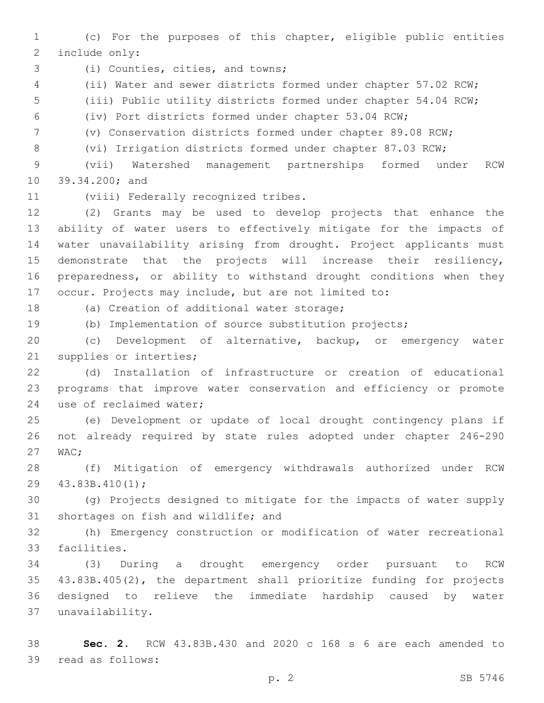(c) For the purposes of this chapter, eligible public entities 2 include only:

3 (i) Counties, cities, and towns;

(ii) Water and sewer districts formed under chapter 57.02 RCW;

(iii) Public utility districts formed under chapter 54.04 RCW;

(iv) Port districts formed under chapter 53.04 RCW;

(v) Conservation districts formed under chapter 89.08 RCW;

(vi) Irrigation districts formed under chapter 87.03 RCW;

 (vii) Watershed management partnerships formed under RCW 10 39.34.200; and

11 (viii) Federally recognized tribes.

 (2) Grants may be used to develop projects that enhance the ability of water users to effectively mitigate for the impacts of water unavailability arising from drought. Project applicants must demonstrate that the projects will increase their resiliency, preparedness, or ability to withstand drought conditions when they occur. Projects may include, but are not limited to:

18 (a) Creation of additional water storage;

(b) Implementation of source substitution projects;

 (c) Development of alternative, backup, or emergency water 21 supplies or interties;

 (d) Installation of infrastructure or creation of educational programs that improve water conservation and efficiency or promote 24 use of reclaimed water;

 (e) Development or update of local drought contingency plans if not already required by state rules adopted under chapter 246-290 27 WAC:

 (f) Mitigation of emergency withdrawals authorized under RCW 29 43.83B.410(1);

 (g) Projects designed to mitigate for the impacts of water supply 31 shortages on fish and wildlife; and

 (h) Emergency construction or modification of water recreational 33 facilities.

 (3) During a drought emergency order pursuant to RCW 43.83B.405(2), the department shall prioritize funding for projects designed to relieve the immediate hardship caused by water unavailability.37

 **Sec. 2.** RCW 43.83B.430 and 2020 c 168 s 6 are each amended to 39 read as follows: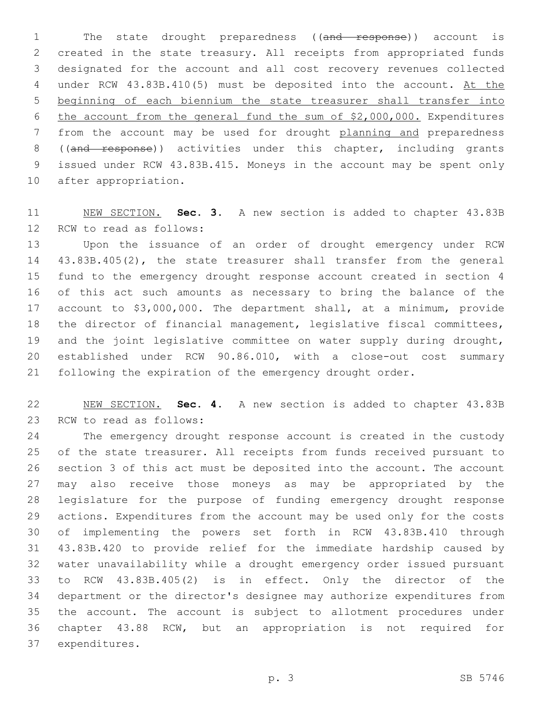1 The state drought preparedness ((and response)) account is created in the state treasury. All receipts from appropriated funds designated for the account and all cost recovery revenues collected 4 under RCW 43.83B.410(5) must be deposited into the account. At the beginning of each biennium the state treasurer shall transfer into the account from the general fund the sum of \$2,000,000. Expenditures from the account may be used for drought planning and preparedness 8 ((and response)) activities under this chapter, including grants issued under RCW 43.83B.415. Moneys in the account may be spent only 10 after appropriation.

 NEW SECTION. **Sec. 3.** A new section is added to chapter 43.83B 12 RCW to read as follows:

 Upon the issuance of an order of drought emergency under RCW 43.83B.405(2), the state treasurer shall transfer from the general fund to the emergency drought response account created in section 4 of this act such amounts as necessary to bring the balance of the account to \$3,000,000. The department shall, at a minimum, provide the director of financial management, legislative fiscal committees, and the joint legislative committee on water supply during drought, established under RCW 90.86.010, with a close-out cost summary following the expiration of the emergency drought order.

 NEW SECTION. **Sec. 4.** A new section is added to chapter 43.83B 23 RCW to read as follows:

 The emergency drought response account is created in the custody of the state treasurer. All receipts from funds received pursuant to section 3 of this act must be deposited into the account. The account may also receive those moneys as may be appropriated by the legislature for the purpose of funding emergency drought response actions. Expenditures from the account may be used only for the costs of implementing the powers set forth in RCW 43.83B.410 through 43.83B.420 to provide relief for the immediate hardship caused by water unavailability while a drought emergency order issued pursuant to RCW 43.83B.405(2) is in effect. Only the director of the department or the director's designee may authorize expenditures from the account. The account is subject to allotment procedures under chapter 43.88 RCW, but an appropriation is not required for 37 expenditures.